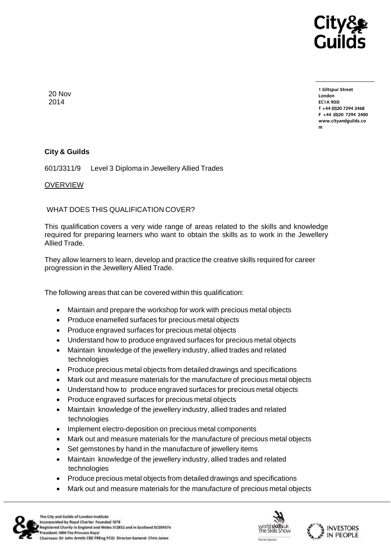

20 Nov 2014

**1 Giltspur Street EC1A 9DD** T +44 (0)20 7294 2468 **T +44 (0)20 7294 2468 [F +44 \(0\)20 7294 2400](http://www.cityandguilds.co/) www.cityandguilds.co**

## **City & Guilds**

601/3311/9 Level 3 Diploma in Jewellery Allied Trades

## OVERVIEW

WHAT DOES THIS QUALIFICATION COVER?

This qualification covers a very wide range of areas related to the skills and knowledge required for preparing learners who want to obtain the skills as to work in the Jewellery Allied Trade.

They allow learners to learn, develop and practice the creative skills required for career progression in the Jewellery Allied Trade.

The following areas that can be covered within this qualification:

- Maintain and prepare the workshop for work with precious metal objects
- Produce enamelled surfaces for precious metal objects
- Produce engraved surfaces for precious metal objects
- Understand how to produce engraved surfaces for precious metal objects
- Maintain knowledge of the jewellery industry, allied trades and related technologies
- Produce precious metal objects from detailed drawings and specifications
- Mark out and measure materials for the manufacture of precious metal objects
- Understand how to produce engraved surfaces for precious metal objects
- Produce engraved surfaces for precious metal objects
- Maintain knowledge of the jewellery industry, allied trades and related technologies
- Implement electro-deposition on precious metal components
- Mark out and measure materials for the manufacture of precious metal objects
- Set gemstones by hand in the manufacture of jewellery items
- Maintain knowledge of the jewellery industry, allied trades and related technologies
- Produce precious metal objects from detailed drawings and specifications
- Mark out and measure materials for the manufacture of precious metal objects